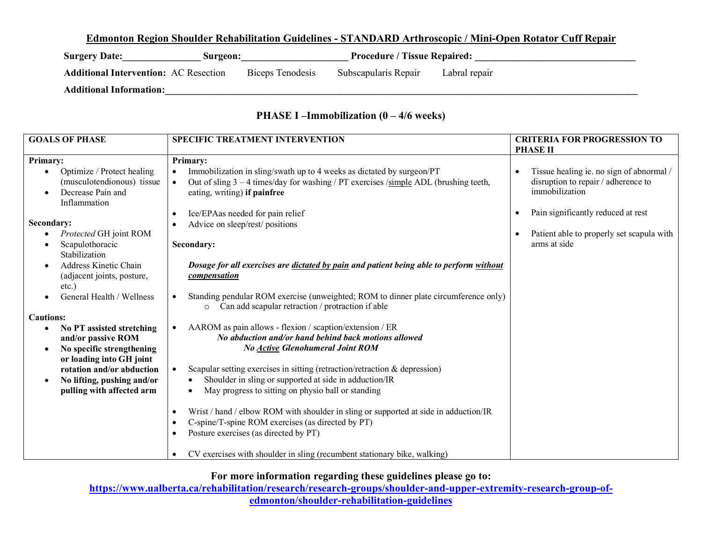#### **Edmonton Region Shoulder Rehabilitation Guidelines - STANDARD Arthroscopic / Mini-Open Rotator Cuff Repair**

| <b>Surgery Date:</b>                         | Surgeon:         |                      | <b>Procedure / Tissue Repaired:</b> |
|----------------------------------------------|------------------|----------------------|-------------------------------------|
| <b>Additional Intervention: AC Resection</b> | Biceps Tenodesis | Subscapularis Repair | Labral repair                       |
| <b>Additional Information:</b>               |                  |                      |                                     |

## **PHASE I –Immobilization (0 – 4/6 weeks)**

| <b>GOALS OF PHASE</b>                                                                                                 | <b>SPECIFIC TREATMENT INTERVENTION</b>                                                                                                                                                                                          | <b>CRITERIA FOR PROGRESSION TO</b><br><b>PHASE II</b>                                                          |
|-----------------------------------------------------------------------------------------------------------------------|---------------------------------------------------------------------------------------------------------------------------------------------------------------------------------------------------------------------------------|----------------------------------------------------------------------------------------------------------------|
|                                                                                                                       |                                                                                                                                                                                                                                 |                                                                                                                |
| Primary:<br>Optimize / Protect healing<br>(musculotendionous) tissue<br>Decrease Pain and<br>$\bullet$                | <b>Primary:</b><br>Immobilization in sling/swath up to 4 weeks as dictated by surgeon/PT<br>Out of sling $3 - 4$ times/day for washing / PT exercises /simple ADL (brushing teeth,<br>$\bullet$<br>eating, writing) if painfree | Tissue healing ie. no sign of abnormal /<br>$\bullet$<br>disruption to repair / adherence to<br>immobilization |
| Inflammation<br>Secondary:<br>Protected GH joint ROM<br>Scapulothoracic                                               | Ice/EPAas needed for pain relief<br>Advice on sleep/rest/ positions<br>Secondary:                                                                                                                                               | Pain significantly reduced at rest<br>$\bullet$<br>Patient able to properly set scapula with<br>arms at side   |
| Stabilization<br><b>Address Kinetic Chain</b><br>$\bullet$<br>(adjacent joints, posture,<br>$etc.$ )                  | Dosage for all exercises are dictated by pain and patient being able to perform without<br>compensation                                                                                                                         |                                                                                                                |
| General Health / Wellness                                                                                             | Standing pendular ROM exercise (unweighted; ROM to dinner plate circumference only)<br>Can add scapular retraction / protraction if able<br>$\circ$                                                                             |                                                                                                                |
| <b>Cautions:</b>                                                                                                      |                                                                                                                                                                                                                                 |                                                                                                                |
| No PT assisted stretching<br>and/or passive ROM<br>No specific strengthening<br>$\bullet$<br>or loading into GH joint | AAROM as pain allows - flexion / scaption/extension / ER<br>$\bullet$<br>No abduction and/or hand behind back motions allowed<br><b>No Active Glenohumeral Joint ROM</b>                                                        |                                                                                                                |
| rotation and/or abduction<br>No lifting, pushing and/or<br>$\bullet$<br>pulling with affected arm                     | Scapular setting exercises in sitting (retraction/retraction $\&$ depression)<br>Shoulder in sling or supported at side in adduction/IR<br>May progress to sitting on physio ball or standing                                   |                                                                                                                |
|                                                                                                                       | Wrist / hand / elbow ROM with shoulder in sling or supported at side in adduction/IR<br>C-spine/T-spine ROM exercises (as directed by PT)<br>Posture exercises (as directed by PT)<br>$\bullet$                                 |                                                                                                                |
|                                                                                                                       | CV exercises with shoulder in sling (recumbent stationary bike, walking)                                                                                                                                                        |                                                                                                                |

## **For more information regarding these guidelines please go to:**

**https://www.ualberta.ca/rehabilitation/research/research-groups/shoulder-and-upper-extremity-research-group-ofedmonton/shoulder-rehabilitation-guidelines**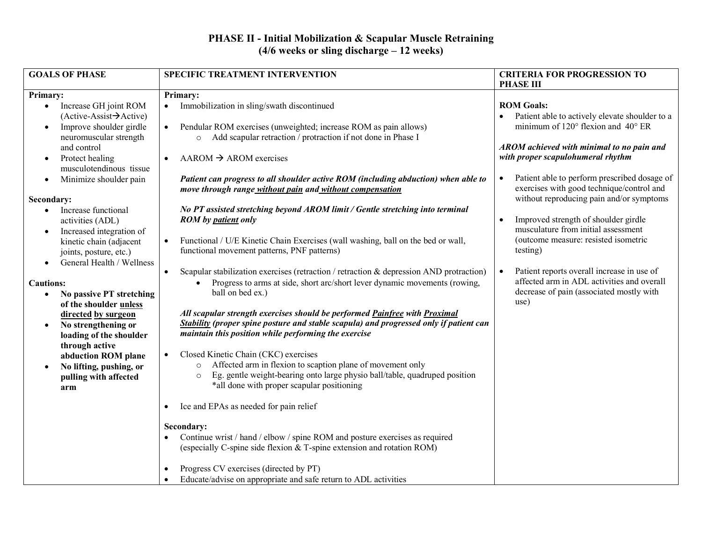#### **PHASE II - Initial Mobilization & Scapular Muscle Retraining (4/6 weeks or sling discharge – 12 weeks)**

| <b>GOALS OF PHASE</b>                                                                                                                                                                                                                                                                      | SPECIFIC TREATMENT INTERVENTION                                                                                                                                                                                                                                                                                                                                                                                                                                                                                                                                                                                                                                                                                                                                                                                                                                                                                                                                                                                              | <b>CRITERIA FOR PROGRESSION TO</b><br><b>PHASE III</b>                                                                                                                                                        |
|--------------------------------------------------------------------------------------------------------------------------------------------------------------------------------------------------------------------------------------------------------------------------------------------|------------------------------------------------------------------------------------------------------------------------------------------------------------------------------------------------------------------------------------------------------------------------------------------------------------------------------------------------------------------------------------------------------------------------------------------------------------------------------------------------------------------------------------------------------------------------------------------------------------------------------------------------------------------------------------------------------------------------------------------------------------------------------------------------------------------------------------------------------------------------------------------------------------------------------------------------------------------------------------------------------------------------------|---------------------------------------------------------------------------------------------------------------------------------------------------------------------------------------------------------------|
| <b>Primary:</b>                                                                                                                                                                                                                                                                            | <b>Primary:</b>                                                                                                                                                                                                                                                                                                                                                                                                                                                                                                                                                                                                                                                                                                                                                                                                                                                                                                                                                                                                              |                                                                                                                                                                                                               |
| Increase GH joint ROM<br>$\bullet$<br>$(Active-Assist \rightarrow Active)$<br>Improve shoulder girdle<br>$\bullet$<br>neuromuscular strength<br>and control<br>Protect healing<br>$\bullet$                                                                                                | Immobilization in sling/swath discontinued<br>Pendular ROM exercises (unweighted; increase ROM as pain allows)<br>$\bullet$<br>Add scapular retraction / protraction if not done in Phase I<br>$\circ$<br>$AAROM \rightarrow AROM$ exercises                                                                                                                                                                                                                                                                                                                                                                                                                                                                                                                                                                                                                                                                                                                                                                                 | <b>ROM Goals:</b><br>Patient able to actively elevate shoulder to a<br>minimum of $120^{\circ}$ flexion and $40^{\circ}$ ER<br>AROM achieved with minimal to no pain and<br>with proper scapulohumeral rhythm |
| musculotendinous tissue<br>Minimize shoulder pain<br>$\bullet$                                                                                                                                                                                                                             | Patient can progress to all shoulder active ROM (including abduction) when able to<br>move through range without pain and without compensation                                                                                                                                                                                                                                                                                                                                                                                                                                                                                                                                                                                                                                                                                                                                                                                                                                                                               | Patient able to perform prescribed dosage of<br>$\bullet$<br>exercises with good technique/control and<br>without reproducing pain and/or symptoms                                                            |
| Secondary:<br>Increase functional<br>$\bullet$<br>activities (ADL)<br>Increased integration of<br>$\bullet$<br>kinetic chain (adjacent<br>joints, posture, etc.)<br>General Health / Wellness<br>$\bullet$                                                                                 | No PT assisted stretching beyond AROM limit / Gentle stretching into terminal<br><b>ROM</b> by patient only<br>Functional / U/E Kinetic Chain Exercises (wall washing, ball on the bed or wall,<br>$\bullet$<br>functional movement patterns, PNF patterns)                                                                                                                                                                                                                                                                                                                                                                                                                                                                                                                                                                                                                                                                                                                                                                  | Improved strength of shoulder girdle<br>$\bullet$<br>musculature from initial assessment<br>(outcome measure: resisted isometric<br>testing)                                                                  |
| <b>Cautions:</b><br>No passive PT stretching<br>$\bullet$<br>of the shoulder unless<br>directed by surgeon<br>No strengthening or<br>$\bullet$<br>loading of the shoulder<br>through active<br>abduction ROM plane<br>No lifting, pushing, or<br>$\bullet$<br>pulling with affected<br>arm | Scapular stabilization exercises (retraction / retraction & depression AND protraction)<br>$\bullet$<br>Progress to arms at side, short arc/short lever dynamic movements (rowing,<br>ball on bed ex.)<br>All scapular strength exercises should be performed Painfree with Proximal<br>Stability (proper spine posture and stable scapula) and progressed only if patient can<br>maintain this position while performing the exercise<br>Closed Kinetic Chain (CKC) exercises<br>Affected arm in flexion to scaption plane of movement only<br>$\circ$<br>Eg. gentle weight-bearing onto large physio ball/table, quadruped position<br>$\circ$<br>*all done with proper scapular positioning<br>Ice and EPAs as needed for pain relief<br>Secondary:<br>Continue wrist / hand / elbow / spine ROM and posture exercises as required<br>(especially C-spine side flexion & T-spine extension and rotation ROM)<br>Progress CV exercises (directed by PT)<br>Educate/advise on appropriate and safe return to ADL activities | Patient reports overall increase in use of<br>$\bullet$<br>affected arm in ADL activities and overall<br>decrease of pain (associated mostly with<br>use)                                                     |